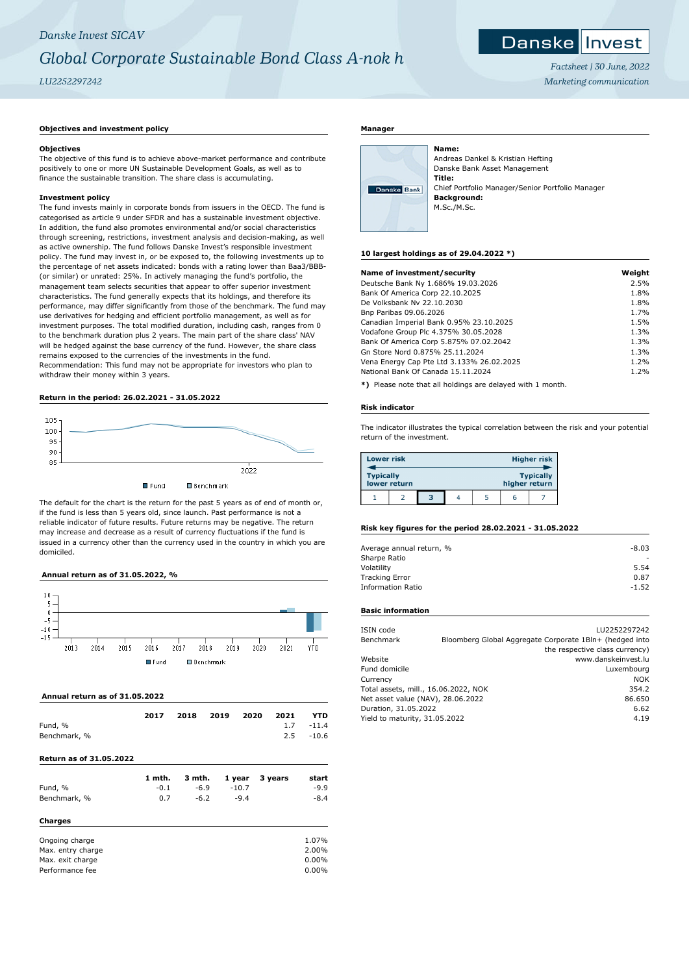# *Danske Invest SICAV Global Corporate Sustainable Bond Class A-nok h LU2252297242*

# Danske Invest

*Factsheet | 30 June, 2022 Marketing communication*

#### **Objectives and investment policy**

# **Objectives**

The objective of this fund is to achieve above-market performance and contribute positively to one or more UN Sustainable Development Goals, as well as to finance the sustainable transition. The share class is accumulating.

# **Investment policy**

The fund invests mainly in corporate bonds from issuers in the OECD. The fund is categorised as article 9 under SFDR and has a sustainable investment objective. In addition, the fund also promotes environmental and/or social characteristics through screening, restrictions, investment analysis and decision-making, as well as active ownership. The fund follows Danske Invest's responsible investment policy. The fund may invest in, or be exposed to, the following investments up to the percentage of net assets indicated: bonds with a rating lower than Baa3/BBB- (or similar) or unrated: 25%. In actively managing the fund's portfolio, the management team selects securities that appear to offer superior investment characteristics. The fund generally expects that its holdings, and therefore its performance, may differ significantly from those of the benchmark. The fund may use derivatives for hedging and efficient portfolio management, as well as for investment purposes. The total modified duration, including cash, ranges from 0 to the benchmark duration plus 2 years. The main part of the share class' NAV will be hedged against the base currency of the fund. However, the share class remains exposed to the currencies of the investments in the fund. Recommendation: This fund may not be appropriate for investors who plan to withdraw their money within 3 years.

# **Return in the period: 26.02.2021 - 31.05.2022**



The default for the chart is the return for the past 5 years as of end of month or, if the fund is less than 5 years old, since launch. Past performance is not a reliable indicator of future results. Future returns may be negative. The return may increase and decrease as a result of currency fluctuations if the fund is issued in a currency other than the currency used in the country in which you are domiciled.

# **Annual return as of 31.05.2022, %**



#### **Annual return as of 31.05.2022**

|              | 2017 | 2018 | 2019 | 2020 | 2021 | <b>YTD</b>   |
|--------------|------|------|------|------|------|--------------|
| Fund, %      |      |      |      |      |      | $1.7 - 11.4$ |
| Benchmark, % |      |      |      |      |      | $2.5 - 10.6$ |

# **Return as of 31.05.2022**

|              | 1 mth. | 3 mth. | 1 year  | 3 years | start  |
|--------------|--------|--------|---------|---------|--------|
| Fund, %      | $-0.1$ | $-6.9$ | $-10.7$ |         | $-9.9$ |
| Benchmark, % | 0.7    | $-6.2$ | $-9.4$  |         | $-8.4$ |
| Charges      |        |        |         |         |        |

| Ongoing charge    | 1.07%    |
|-------------------|----------|
| Max. entry charge | 2.00%    |
| Max. exit charge  | $0.00\%$ |
| Performance fee   | $0.00\%$ |

# **Manager**

| Danske Bank |  |
|-------------|--|
|             |  |

Andreas Dankel & Kristian Hefting Danske Bank Asset Management **Title:** Chief Portfolio Manager/Senior Portfolio Manager **Background:** M.Sc./M.Sc.

#### **10 largest holdings as of 29.04.2022 \*)**

**Name:**

| Name of investment/security               | Weight |
|-------------------------------------------|--------|
| Deutsche Bank Ny 1.686% 19.03.2026        | 2.5%   |
| Bank Of America Corp 22.10.2025           | 1.8%   |
| De Volksbank Nv 22.10.2030                | 1.8%   |
| Bnp Paribas 09.06.2026                    | 1.7%   |
| Canadian Imperial Bank 0.95% 23.10.2025   | 1.5%   |
| Vodafone Group Plc 4.375% 30.05.2028      | 1.3%   |
| Bank Of America Corp 5.875% 07.02.2042    | 1.3%   |
| Gn Store Nord 0.875% 25.11.2024           | 1.3%   |
| Vena Energy Cap Pte Ltd 3.133% 26.02.2025 | 1.2%   |
| National Bank Of Canada 15.11.2024        | 1.2%   |
|                                           |        |

**\*)** Please note that all holdings are delayed with 1 month.

#### **Risk indicator**

The indicator illustrates the typical correlation between the risk and your potential return of the investment.

| <b>Lower risk</b> |              |   |  |               | <b>Higher risk</b> |
|-------------------|--------------|---|--|---------------|--------------------|
| <b>Typically</b>  | lower return |   |  | higher return | <b>Typically</b>   |
|                   |              | з |  | ь             |                    |

### **Risk key figures for the period 28.02.2021 - 31.05.2022**

| Average annual return, % | $-8.03$ |
|--------------------------|---------|
| Sharpe Ratio             |         |
| Volatility               | 5.54    |
| <b>Tracking Error</b>    | 0.87    |
| <b>Information Ratio</b> | $-1.52$ |

# **Basic information**

| ISIN code                            | LU2252297242                                            |
|--------------------------------------|---------------------------------------------------------|
| Benchmark                            | Bloomberg Global Aggregate Corporate 1Bln+ (hedged into |
|                                      | the respective class currency)                          |
| Website                              | www.danskeinvest.lu                                     |
| Fund domicile                        | Luxembourg                                              |
| Currency                             | <b>NOK</b>                                              |
| Total assets, mill., 16.06.2022, NOK | 354.2                                                   |
| Net asset value (NAV), 28.06.2022    | 86.650                                                  |
| Duration, 31.05.2022                 | 6.62                                                    |
| Yield to maturity, 31.05.2022        | 4.19                                                    |
|                                      |                                                         |